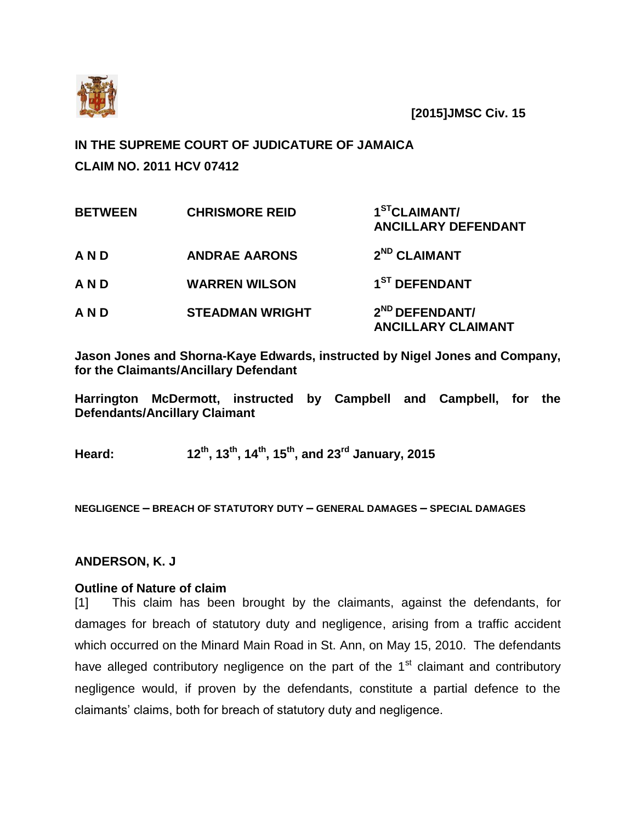

**[2015]JMSC Civ. 15**

# **IN THE SUPREME COURT OF JUDICATURE OF JAMAICA CLAIM NO. 2011 HCV 07412**

| <b>BETWEEN</b> | <b>CHRISMORE REID</b>  | 1 <sup>ST</sup> CLAIMANT/<br><b>ANCILLARY DEFENDANT</b> |
|----------------|------------------------|---------------------------------------------------------|
| AND            | <b>ANDRAE AARONS</b>   | 2 <sup>ND</sup> CLAIMANT                                |
| AND            | <b>WARREN WILSON</b>   | 1 <sup>ST</sup> DEFENDANT                               |
| AND            | <b>STEADMAN WRIGHT</b> | 2 <sup>ND</sup> DEFENDANT/<br><b>ANCILLARY CLAIMANT</b> |

**Jason Jones and Shorna-Kaye Edwards, instructed by Nigel Jones and Company, for the Claimants/Ancillary Defendant**

**Harrington McDermott, instructed by Campbell and Campbell, for the Defendants/Ancillary Claimant** 

**Heard: 12th, 13th, 14th, 15th, and 23rd January, 2015**

**NEGLIGENCE – BREACH OF STATUTORY DUTY – GENERAL DAMAGES – SPECIAL DAMAGES**

## **ANDERSON, K. J**

#### **Outline of Nature of claim**

[1] This claim has been brought by the claimants, against the defendants, for damages for breach of statutory duty and negligence, arising from a traffic accident which occurred on the Minard Main Road in St. Ann, on May 15, 2010. The defendants have alleged contributory negligence on the part of the  $1<sup>st</sup>$  claimant and contributory negligence would, if proven by the defendants, constitute a partial defence to the claimants' claims, both for breach of statutory duty and negligence.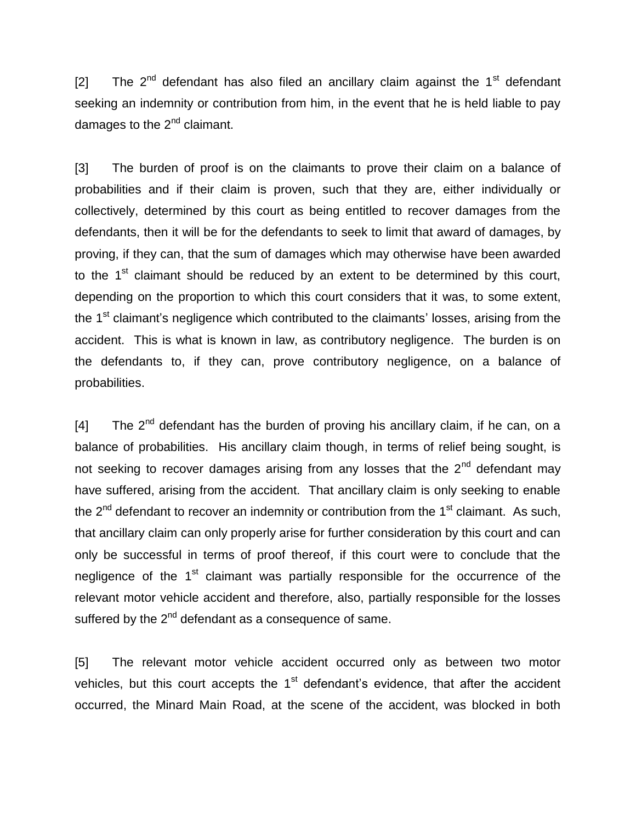[2] The  $2<sup>nd</sup>$  defendant has also filed an ancillary claim against the 1<sup>st</sup> defendant seeking an indemnity or contribution from him, in the event that he is held liable to pay damages to the  $2^{nd}$  claimant.

[3] The burden of proof is on the claimants to prove their claim on a balance of probabilities and if their claim is proven, such that they are, either individually or collectively, determined by this court as being entitled to recover damages from the defendants, then it will be for the defendants to seek to limit that award of damages, by proving, if they can, that the sum of damages which may otherwise have been awarded to the  $1<sup>st</sup>$  claimant should be reduced by an extent to be determined by this court, depending on the proportion to which this court considers that it was, to some extent, the 1<sup>st</sup> claimant's negligence which contributed to the claimants' losses, arising from the accident. This is what is known in law, as contributory negligence. The burden is on the defendants to, if they can, prove contributory negligence, on a balance of probabilities.

[4] The  $2^{nd}$  defendant has the burden of proving his ancillary claim, if he can, on a balance of probabilities. His ancillary claim though, in terms of relief being sought, is not seeking to recover damages arising from any losses that the 2<sup>nd</sup> defendant may have suffered, arising from the accident. That ancillary claim is only seeking to enable the  $2^{nd}$  defendant to recover an indemnity or contribution from the  $1<sup>st</sup>$  claimant. As such, that ancillary claim can only properly arise for further consideration by this court and can only be successful in terms of proof thereof, if this court were to conclude that the negligence of the 1<sup>st</sup> claimant was partially responsible for the occurrence of the relevant motor vehicle accident and therefore, also, partially responsible for the losses suffered by the  $2^{nd}$  defendant as a consequence of same.

[5] The relevant motor vehicle accident occurred only as between two motor vehicles, but this court accepts the  $1<sup>st</sup>$  defendant's evidence, that after the accident occurred, the Minard Main Road, at the scene of the accident, was blocked in both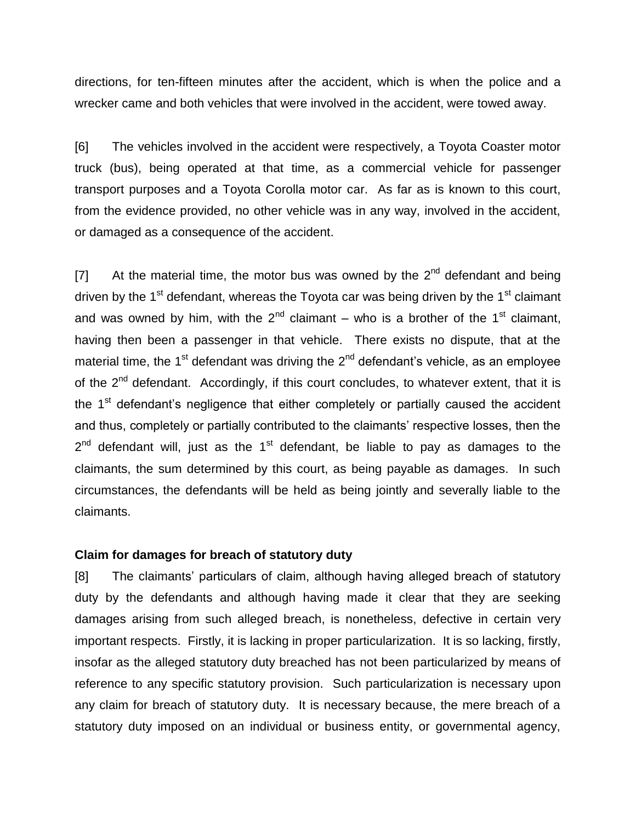directions, for ten-fifteen minutes after the accident, which is when the police and a wrecker came and both vehicles that were involved in the accident, were towed away.

[6] The vehicles involved in the accident were respectively, a Toyota Coaster motor truck (bus), being operated at that time, as a commercial vehicle for passenger transport purposes and a Toyota Corolla motor car. As far as is known to this court, from the evidence provided, no other vehicle was in any way, involved in the accident, or damaged as a consequence of the accident.

[7] At the material time, the motor bus was owned by the  $2^{nd}$  defendant and being driven by the  $1<sup>st</sup>$  defendant, whereas the Toyota car was being driven by the  $1<sup>st</sup>$  claimant and was owned by him, with the  $2^{nd}$  claimant – who is a brother of the 1<sup>st</sup> claimant, having then been a passenger in that vehicle. There exists no dispute, that at the material time, the 1<sup>st</sup> defendant was driving the 2<sup>nd</sup> defendant's vehicle, as an employee of the  $2^{nd}$  defendant. Accordingly, if this court concludes, to whatever extent, that it is the  $1<sup>st</sup>$  defendant's negligence that either completely or partially caused the accident and thus, completely or partially contributed to the claimants' respective losses, then the  $2^{nd}$  defendant will, just as the 1<sup>st</sup> defendant, be liable to pay as damages to the claimants, the sum determined by this court, as being payable as damages. In such circumstances, the defendants will be held as being jointly and severally liable to the claimants.

#### **Claim for damages for breach of statutory duty**

[8] The claimants' particulars of claim, although having alleged breach of statutory duty by the defendants and although having made it clear that they are seeking damages arising from such alleged breach, is nonetheless, defective in certain very important respects. Firstly, it is lacking in proper particularization. It is so lacking, firstly, insofar as the alleged statutory duty breached has not been particularized by means of reference to any specific statutory provision. Such particularization is necessary upon any claim for breach of statutory duty. It is necessary because, the mere breach of a statutory duty imposed on an individual or business entity, or governmental agency,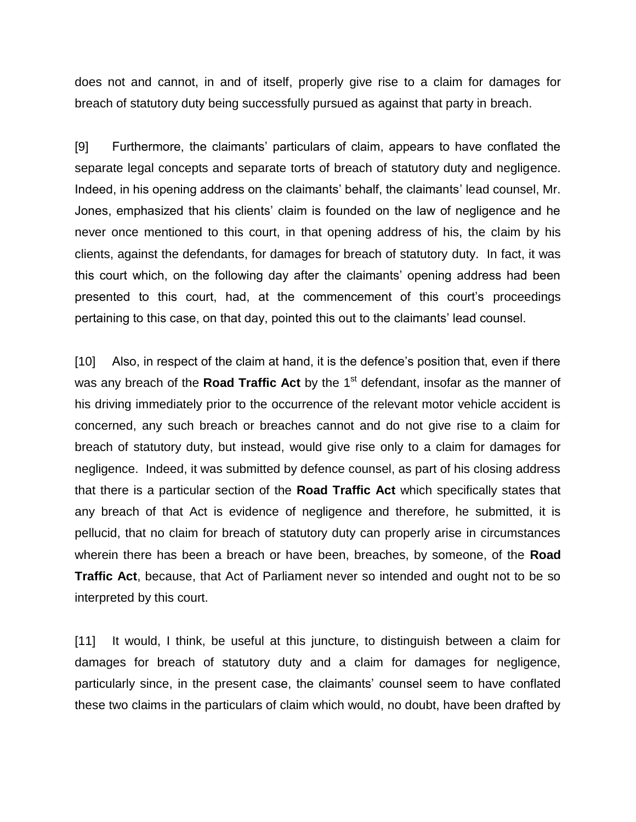does not and cannot, in and of itself, properly give rise to a claim for damages for breach of statutory duty being successfully pursued as against that party in breach.

[9] Furthermore, the claimants' particulars of claim, appears to have conflated the separate legal concepts and separate torts of breach of statutory duty and negligence. Indeed, in his opening address on the claimants' behalf, the claimants' lead counsel, Mr. Jones, emphasized that his clients' claim is founded on the law of negligence and he never once mentioned to this court, in that opening address of his, the claim by his clients, against the defendants, for damages for breach of statutory duty. In fact, it was this court which, on the following day after the claimants' opening address had been presented to this court, had, at the commencement of this court's proceedings pertaining to this case, on that day, pointed this out to the claimants' lead counsel.

[10] Also, in respect of the claim at hand, it is the defence's position that, even if there was any breach of the **Road Traffic Act** by the 1<sup>st</sup> defendant, insofar as the manner of his driving immediately prior to the occurrence of the relevant motor vehicle accident is concerned, any such breach or breaches cannot and do not give rise to a claim for breach of statutory duty, but instead, would give rise only to a claim for damages for negligence. Indeed, it was submitted by defence counsel, as part of his closing address that there is a particular section of the **Road Traffic Act** which specifically states that any breach of that Act is evidence of negligence and therefore, he submitted, it is pellucid, that no claim for breach of statutory duty can properly arise in circumstances wherein there has been a breach or have been, breaches, by someone, of the **Road Traffic Act**, because, that Act of Parliament never so intended and ought not to be so interpreted by this court.

[11] It would, I think, be useful at this juncture, to distinguish between a claim for damages for breach of statutory duty and a claim for damages for negligence, particularly since, in the present case, the claimants' counsel seem to have conflated these two claims in the particulars of claim which would, no doubt, have been drafted by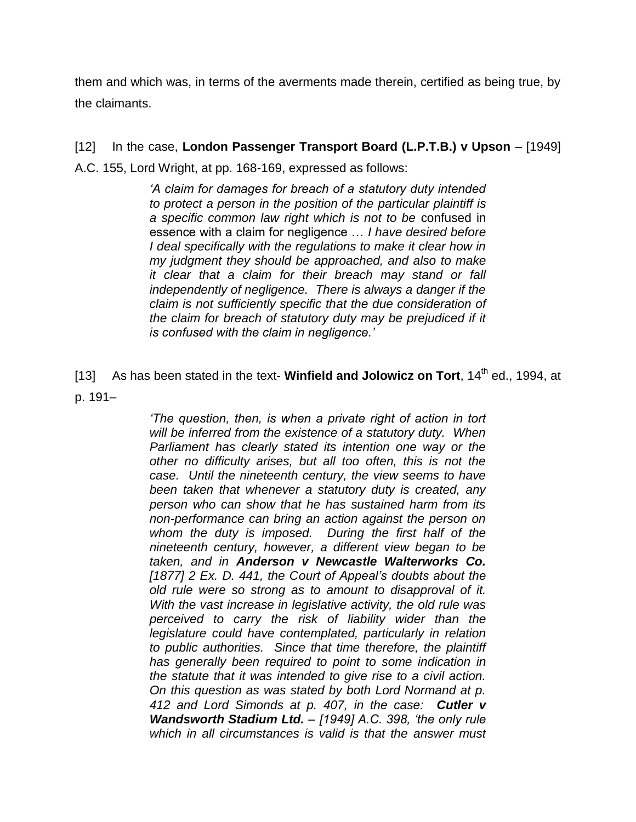them and which was, in terms of the averments made therein, certified as being true, by the claimants.

[12] In the case, **London Passenger Transport Board (L.P.T.B.) v Upson** – [1949] A.C. 155, Lord Wright, at pp. 168-169, expressed as follows:

> *'A claim for damages for breach of a statutory duty intended to protect a person in the position of the particular plaintiff is a specific common law right which is not to be* confused in essence with a claim for negligence … *I have desired before I* deal specifically with the regulations to make it clear how in *my judgment they should be approached, and also to make it clear that a claim for their breach may stand or fall independently of negligence. There is always a danger if the claim is not sufficiently specific that the due consideration of the claim for breach of statutory duty may be prejudiced if it is confused with the claim in negligence.'*

[13] As has been stated in the text- **Winfield and Jolowicz on Tort**, 14<sup>th</sup> ed., 1994, at p. 191–

> *'The question, then, is when a private right of action in tort will be inferred from the existence of a statutory duty. When Parliament has clearly stated its intention one way or the other no difficulty arises, but all too often, this is not the case. Until the nineteenth century, the view seems to have been taken that whenever a statutory duty is created, any person who can show that he has sustained harm from its non-performance can bring an action against the person on whom the duty is imposed. During the first half of the nineteenth century, however, a different view began to be taken, and in Anderson v Newcastle Walterworks Co. [1877] 2 Ex. D. 441, the Court of Appeal's doubts about the old rule were so strong as to amount to disapproval of it. With the vast increase in legislative activity, the old rule was perceived to carry the risk of liability wider than the legislature could have contemplated, particularly in relation to public authorities. Since that time therefore, the plaintiff has generally been required to point to some indication in the statute that it was intended to give rise to a civil action. On this question as was stated by both Lord Normand at p. 412 and Lord Simonds at p. 407, in the case: Cutler v Wandsworth Stadium Ltd. – [1949] A.C. 398, 'the only rule which in all circumstances is valid is that the answer must*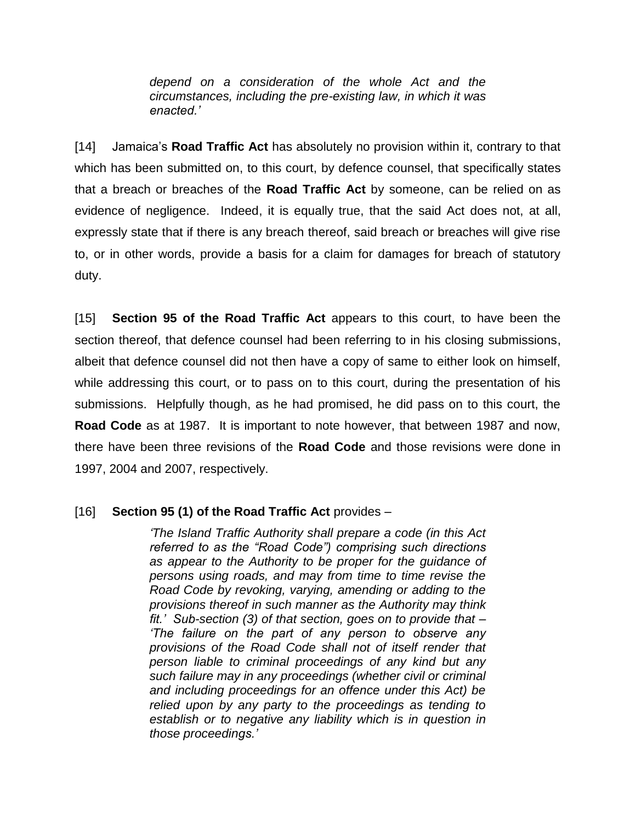*depend on a consideration of the whole Act and the circumstances, including the pre-existing law, in which it was enacted.'*

[14] Jamaica's **Road Traffic Act** has absolutely no provision within it, contrary to that which has been submitted on, to this court, by defence counsel, that specifically states that a breach or breaches of the **Road Traffic Act** by someone, can be relied on as evidence of negligence. Indeed, it is equally true, that the said Act does not, at all, expressly state that if there is any breach thereof, said breach or breaches will give rise to, or in other words, provide a basis for a claim for damages for breach of statutory duty.

[15] **Section 95 of the Road Traffic Act** appears to this court, to have been the section thereof, that defence counsel had been referring to in his closing submissions, albeit that defence counsel did not then have a copy of same to either look on himself, while addressing this court, or to pass on to this court, during the presentation of his submissions. Helpfully though, as he had promised, he did pass on to this court, the **Road Code** as at 1987. It is important to note however, that between 1987 and now, there have been three revisions of the **Road Code** and those revisions were done in 1997, 2004 and 2007, respectively.

## [16] **Section 95 (1) of the Road Traffic Act** provides –

*'The Island Traffic Authority shall prepare a code (in this Act referred to as the "Road Code") comprising such directions as appear to the Authority to be proper for the guidance of persons using roads, and may from time to time revise the Road Code by revoking, varying, amending or adding to the provisions thereof in such manner as the Authority may think fit.' Sub-section (3) of that section, goes on to provide that – 'The failure on the part of any person to observe any provisions of the Road Code shall not of itself render that person liable to criminal proceedings of any kind but any such failure may in any proceedings (whether civil or criminal and including proceedings for an offence under this Act) be relied upon by any party to the proceedings as tending to establish or to negative any liability which is in question in those proceedings.'*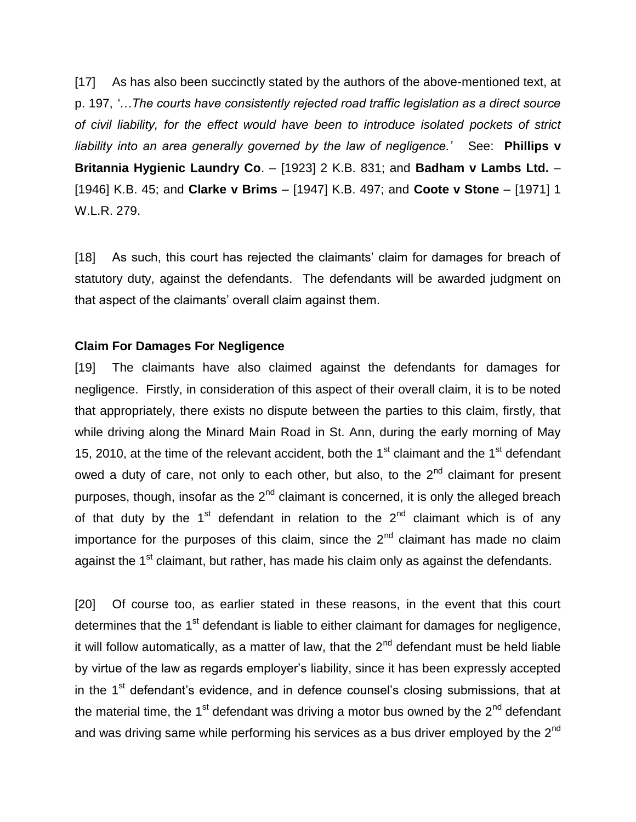[17] As has also been succinctly stated by the authors of the above-mentioned text, at p. 197, *'…The courts have consistently rejected road traffic legislation as a direct source of civil liability, for the effect would have been to introduce isolated pockets of strict liability into an area generally governed by the law of negligence.'* See: **Phillips v Britannia Hygienic Laundry Co**. – [1923] 2 K.B. 831; and **Badham v Lambs Ltd.** – [1946] K.B. 45; and **Clarke v Brims** – [1947] K.B. 497; and **Coote v Stone** – [1971] 1 W.L.R. 279.

[18] As such, this court has rejected the claimants' claim for damages for breach of statutory duty, against the defendants. The defendants will be awarded judgment on that aspect of the claimants' overall claim against them.

## **Claim For Damages For Negligence**

[19] The claimants have also claimed against the defendants for damages for negligence. Firstly, in consideration of this aspect of their overall claim, it is to be noted that appropriately, there exists no dispute between the parties to this claim, firstly, that while driving along the Minard Main Road in St. Ann, during the early morning of May 15, 2010, at the time of the relevant accident, both the 1<sup>st</sup> claimant and the 1<sup>st</sup> defendant owed a duty of care, not only to each other, but also, to the  $2<sup>nd</sup>$  claimant for present purposes, though, insofar as the 2<sup>nd</sup> claimant is concerned, it is only the alleged breach of that duty by the  $1<sup>st</sup>$  defendant in relation to the  $2<sup>nd</sup>$  claimant which is of any importance for the purposes of this claim, since the  $2<sup>nd</sup>$  claimant has made no claim against the 1<sup>st</sup> claimant, but rather, has made his claim only as against the defendants.

[20] Of course too, as earlier stated in these reasons, in the event that this court determines that the  $1<sup>st</sup>$  defendant is liable to either claimant for damages for negligence, it will follow automatically, as a matter of law, that the  $2<sup>nd</sup>$  defendant must be held liable by virtue of the law as regards employer's liability, since it has been expressly accepted in the  $1<sup>st</sup>$  defendant's evidence, and in defence counsel's closing submissions, that at the material time, the 1<sup>st</sup> defendant was driving a motor bus owned by the  $2^{nd}$  defendant and was driving same while performing his services as a bus driver employed by the  $2^{nd}$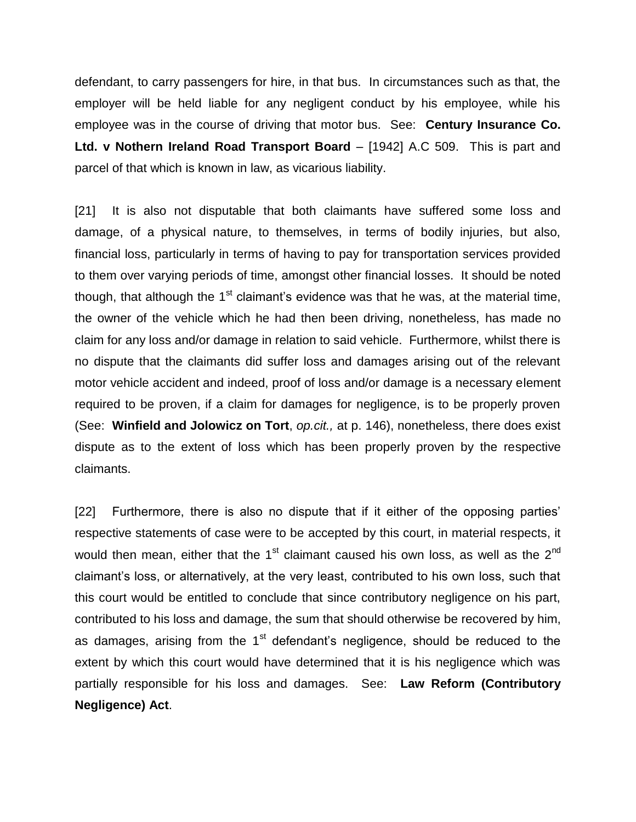defendant, to carry passengers for hire, in that bus. In circumstances such as that, the employer will be held liable for any negligent conduct by his employee, while his employee was in the course of driving that motor bus. See: **Century Insurance Co. Ltd. v Nothern Ireland Road Transport Board** – [1942] A.C 509. This is part and parcel of that which is known in law, as vicarious liability.

[21] It is also not disputable that both claimants have suffered some loss and damage, of a physical nature, to themselves, in terms of bodily injuries, but also, financial loss, particularly in terms of having to pay for transportation services provided to them over varying periods of time, amongst other financial losses. It should be noted though, that although the  $1<sup>st</sup>$  claimant's evidence was that he was, at the material time, the owner of the vehicle which he had then been driving, nonetheless, has made no claim for any loss and/or damage in relation to said vehicle. Furthermore, whilst there is no dispute that the claimants did suffer loss and damages arising out of the relevant motor vehicle accident and indeed, proof of loss and/or damage is a necessary element required to be proven, if a claim for damages for negligence, is to be properly proven (See: **Winfield and Jolowicz on Tort**, *op.cit.,* at p. 146), nonetheless, there does exist dispute as to the extent of loss which has been properly proven by the respective claimants.

[22] Furthermore, there is also no dispute that if it either of the opposing parties' respective statements of case were to be accepted by this court, in material respects, it would then mean, either that the  $1<sup>st</sup>$  claimant caused his own loss, as well as the  $2<sup>nd</sup>$ claimant's loss, or alternatively, at the very least, contributed to his own loss, such that this court would be entitled to conclude that since contributory negligence on his part, contributed to his loss and damage, the sum that should otherwise be recovered by him, as damages, arising from the  $1<sup>st</sup>$  defendant's negligence, should be reduced to the extent by which this court would have determined that it is his negligence which was partially responsible for his loss and damages. See: **Law Reform (Contributory Negligence) Act**.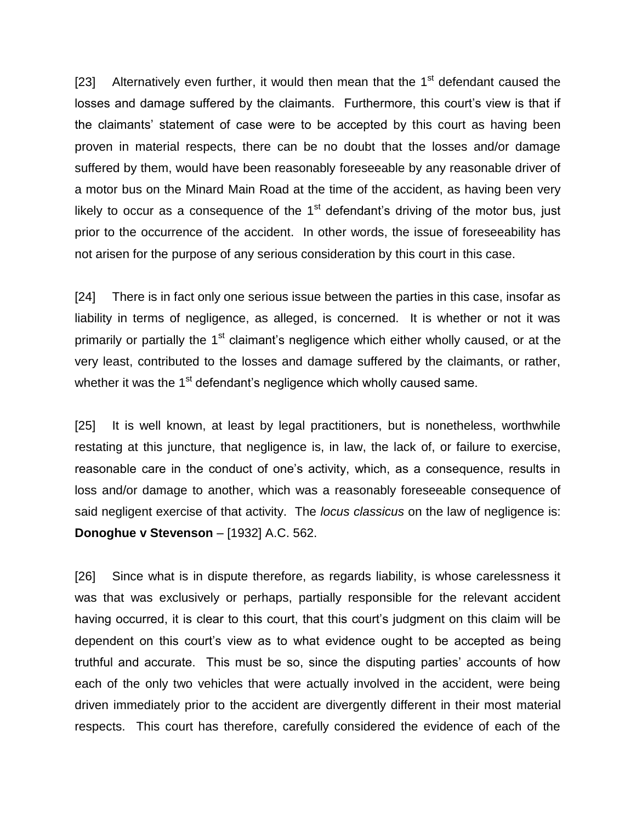[23] Alternatively even further, it would then mean that the  $1<sup>st</sup>$  defendant caused the losses and damage suffered by the claimants. Furthermore, this court's view is that if the claimants' statement of case were to be accepted by this court as having been proven in material respects, there can be no doubt that the losses and/or damage suffered by them, would have been reasonably foreseeable by any reasonable driver of a motor bus on the Minard Main Road at the time of the accident, as having been very likely to occur as a consequence of the  $1<sup>st</sup>$  defendant's driving of the motor bus, just prior to the occurrence of the accident. In other words, the issue of foreseeability has not arisen for the purpose of any serious consideration by this court in this case.

[24] There is in fact only one serious issue between the parties in this case, insofar as liability in terms of negligence, as alleged, is concerned. It is whether or not it was primarily or partially the  $1<sup>st</sup>$  claimant's negligence which either wholly caused, or at the very least, contributed to the losses and damage suffered by the claimants, or rather, whether it was the 1<sup>st</sup> defendant's negligence which wholly caused same.

[25] It is well known, at least by legal practitioners, but is nonetheless, worthwhile restating at this juncture, that negligence is, in law, the lack of, or failure to exercise, reasonable care in the conduct of one's activity, which, as a consequence, results in loss and/or damage to another, which was a reasonably foreseeable consequence of said negligent exercise of that activity. The *locus classicus* on the law of negligence is: **Donoghue v Stevenson** – [1932] A.C. 562.

[26] Since what is in dispute therefore, as regards liability, is whose carelessness it was that was exclusively or perhaps, partially responsible for the relevant accident having occurred, it is clear to this court, that this court's judgment on this claim will be dependent on this court's view as to what evidence ought to be accepted as being truthful and accurate. This must be so, since the disputing parties' accounts of how each of the only two vehicles that were actually involved in the accident, were being driven immediately prior to the accident are divergently different in their most material respects. This court has therefore, carefully considered the evidence of each of the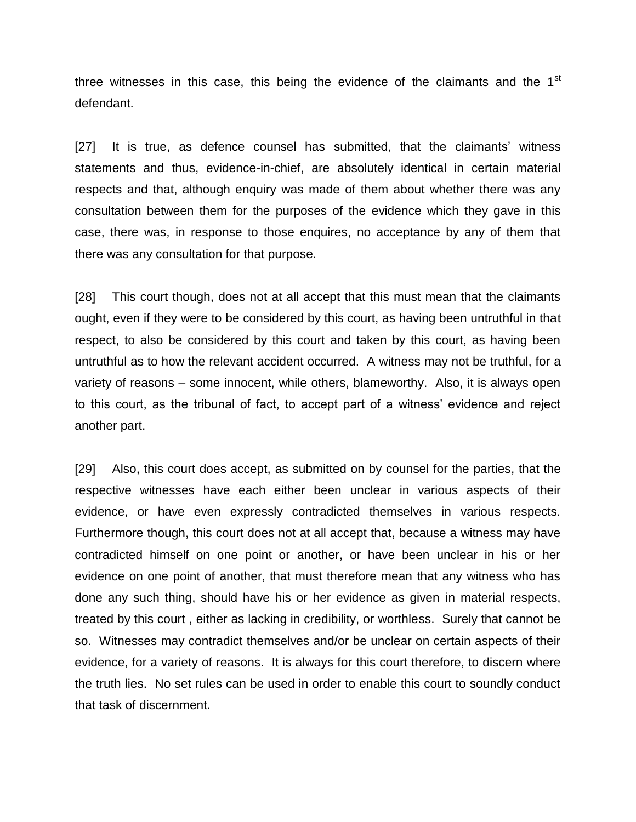three witnesses in this case, this being the evidence of the claimants and the 1<sup>st</sup> defendant.

[27] It is true, as defence counsel has submitted, that the claimants' witness statements and thus, evidence-in-chief, are absolutely identical in certain material respects and that, although enquiry was made of them about whether there was any consultation between them for the purposes of the evidence which they gave in this case, there was, in response to those enquires, no acceptance by any of them that there was any consultation for that purpose.

[28] This court though, does not at all accept that this must mean that the claimants ought, even if they were to be considered by this court, as having been untruthful in that respect, to also be considered by this court and taken by this court, as having been untruthful as to how the relevant accident occurred. A witness may not be truthful, for a variety of reasons – some innocent, while others, blameworthy. Also, it is always open to this court, as the tribunal of fact, to accept part of a witness' evidence and reject another part.

[29] Also, this court does accept, as submitted on by counsel for the parties, that the respective witnesses have each either been unclear in various aspects of their evidence, or have even expressly contradicted themselves in various respects. Furthermore though, this court does not at all accept that, because a witness may have contradicted himself on one point or another, or have been unclear in his or her evidence on one point of another, that must therefore mean that any witness who has done any such thing, should have his or her evidence as given in material respects, treated by this court , either as lacking in credibility, or worthless. Surely that cannot be so. Witnesses may contradict themselves and/or be unclear on certain aspects of their evidence, for a variety of reasons. It is always for this court therefore, to discern where the truth lies. No set rules can be used in order to enable this court to soundly conduct that task of discernment.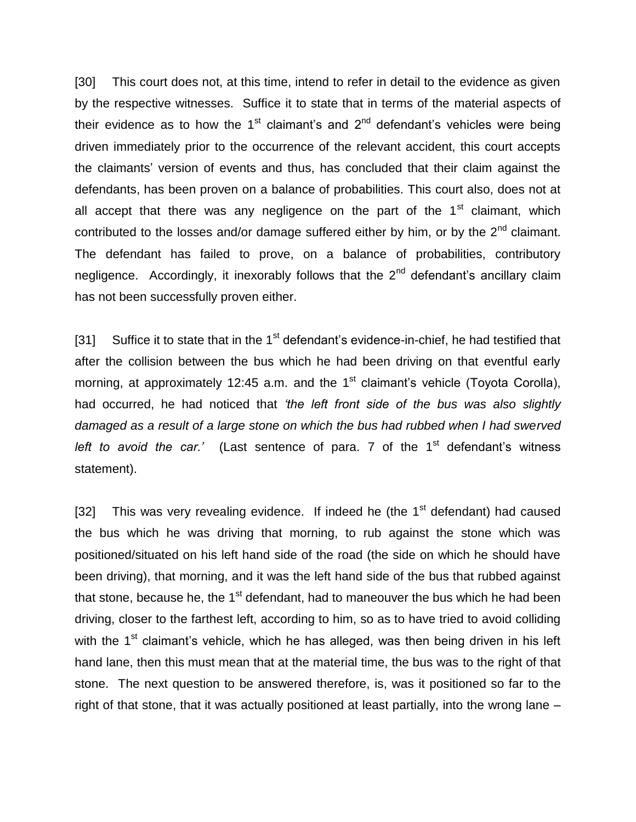[30] This court does not, at this time, intend to refer in detail to the evidence as given by the respective witnesses. Suffice it to state that in terms of the material aspects of their evidence as to how the  $1<sup>st</sup>$  claimant's and  $2<sup>nd</sup>$  defendant's vehicles were being driven immediately prior to the occurrence of the relevant accident, this court accepts the claimants' version of events and thus, has concluded that their claim against the defendants, has been proven on a balance of probabilities. This court also, does not at all accept that there was any negligence on the part of the  $1<sup>st</sup>$  claimant, which contributed to the losses and/or damage suffered either by him, or by the  $2<sup>nd</sup>$  claimant. The defendant has failed to prove, on a balance of probabilities, contributory negligence. Accordingly, it inexorably follows that the  $2<sup>nd</sup>$  defendant's ancillary claim has not been successfully proven either.

[31] Suffice it to state that in the  $1<sup>st</sup>$  defendant's evidence-in-chief, he had testified that after the collision between the bus which he had been driving on that eventful early morning, at approximately 12:45 a.m. and the  $1<sup>st</sup>$  claimant's vehicle (Toyota Corolla), had occurred, he had noticed that *'the left front side of the bus was also slightly damaged as a result of a large stone on which the bus had rubbed when I had swerved*  left to avoid the car.' (Last sentence of para. 7 of the 1<sup>st</sup> defendant's witness statement).

[32] This was very revealing evidence. If indeed he (the  $1<sup>st</sup>$  defendant) had caused the bus which he was driving that morning, to rub against the stone which was positioned/situated on his left hand side of the road (the side on which he should have been driving), that morning, and it was the left hand side of the bus that rubbed against that stone, because he, the  $1<sup>st</sup>$  defendant, had to maneouver the bus which he had been driving, closer to the farthest left, according to him, so as to have tried to avoid colliding with the  $1<sup>st</sup>$  claimant's vehicle, which he has alleged, was then being driven in his left hand lane, then this must mean that at the material time, the bus was to the right of that stone. The next question to be answered therefore, is, was it positioned so far to the right of that stone, that it was actually positioned at least partially, into the wrong lane –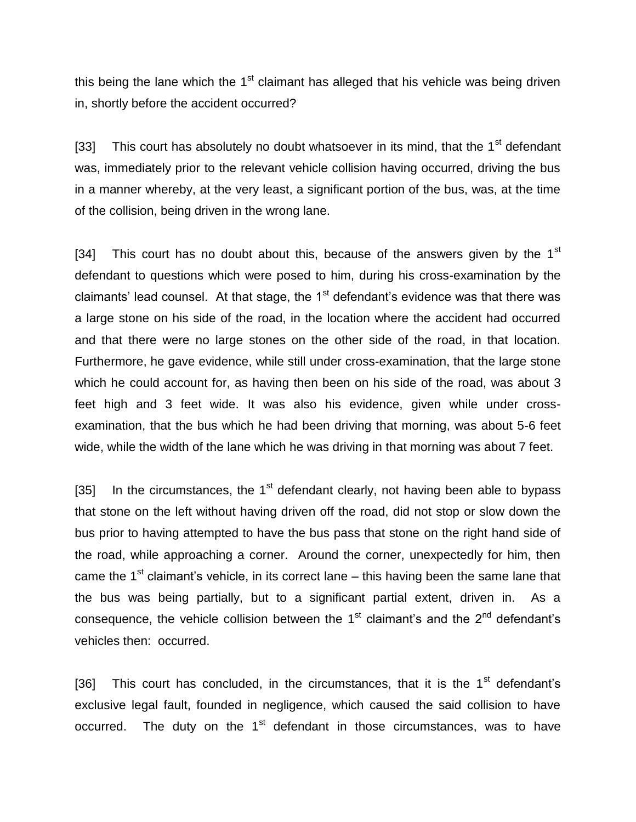this being the lane which the  $1<sup>st</sup>$  claimant has alleged that his vehicle was being driven in, shortly before the accident occurred?

[33] This court has absolutely no doubt whatsoever in its mind, that the  $1<sup>st</sup>$  defendant was, immediately prior to the relevant vehicle collision having occurred, driving the bus in a manner whereby, at the very least, a significant portion of the bus, was, at the time of the collision, being driven in the wrong lane.

[34] This court has no doubt about this, because of the answers given by the  $1<sup>st</sup>$ defendant to questions which were posed to him, during his cross-examination by the claimants' lead counsel. At that stage, the  $1<sup>st</sup>$  defendant's evidence was that there was a large stone on his side of the road, in the location where the accident had occurred and that there were no large stones on the other side of the road, in that location. Furthermore, he gave evidence, while still under cross-examination, that the large stone which he could account for, as having then been on his side of the road, was about 3 feet high and 3 feet wide. It was also his evidence, given while under crossexamination, that the bus which he had been driving that morning, was about 5-6 feet wide, while the width of the lane which he was driving in that morning was about 7 feet.

[35] In the circumstances, the  $1<sup>st</sup>$  defendant clearly, not having been able to bypass that stone on the left without having driven off the road, did not stop or slow down the bus prior to having attempted to have the bus pass that stone on the right hand side of the road, while approaching a corner. Around the corner, unexpectedly for him, then came the  $1<sup>st</sup>$  claimant's vehicle, in its correct lane – this having been the same lane that the bus was being partially, but to a significant partial extent, driven in. As a consequence, the vehicle collision between the  $1<sup>st</sup>$  claimant's and the  $2<sup>nd</sup>$  defendant's vehicles then: occurred.

[36] This court has concluded, in the circumstances, that it is the  $1<sup>st</sup>$  defendant's exclusive legal fault, founded in negligence, which caused the said collision to have occurred. The duty on the  $1<sup>st</sup>$  defendant in those circumstances, was to have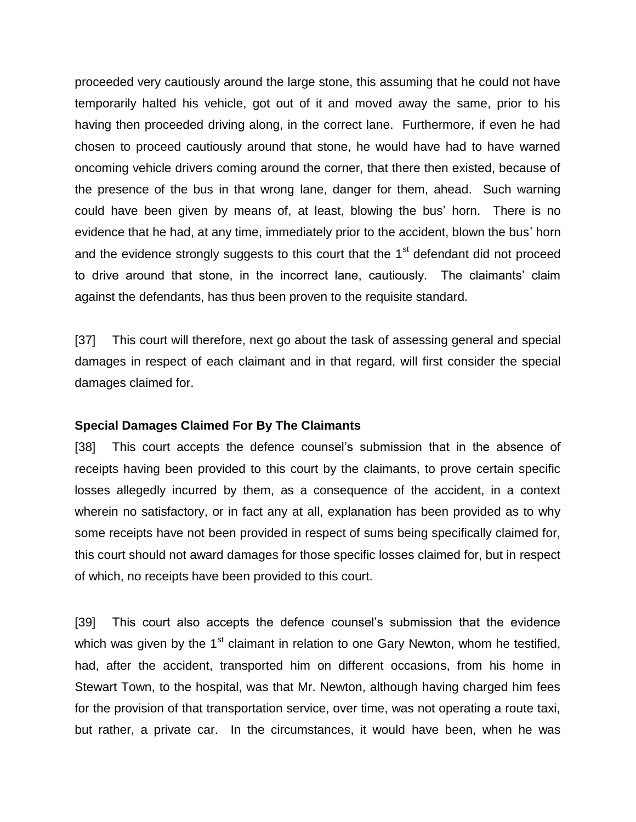proceeded very cautiously around the large stone, this assuming that he could not have temporarily halted his vehicle, got out of it and moved away the same, prior to his having then proceeded driving along, in the correct lane. Furthermore, if even he had chosen to proceed cautiously around that stone, he would have had to have warned oncoming vehicle drivers coming around the corner, that there then existed, because of the presence of the bus in that wrong lane, danger for them, ahead. Such warning could have been given by means of, at least, blowing the bus' horn. There is no evidence that he had, at any time, immediately prior to the accident, blown the bus' horn and the evidence strongly suggests to this court that the  $1<sup>st</sup>$  defendant did not proceed to drive around that stone, in the incorrect lane, cautiously. The claimants' claim against the defendants, has thus been proven to the requisite standard.

[37] This court will therefore, next go about the task of assessing general and special damages in respect of each claimant and in that regard, will first consider the special damages claimed for.

#### **Special Damages Claimed For By The Claimants**

[38] This court accepts the defence counsel's submission that in the absence of receipts having been provided to this court by the claimants, to prove certain specific losses allegedly incurred by them, as a consequence of the accident, in a context wherein no satisfactory, or in fact any at all, explanation has been provided as to why some receipts have not been provided in respect of sums being specifically claimed for, this court should not award damages for those specific losses claimed for, but in respect of which, no receipts have been provided to this court.

[39] This court also accepts the defence counsel's submission that the evidence which was given by the  $1<sup>st</sup>$  claimant in relation to one Gary Newton, whom he testified, had, after the accident, transported him on different occasions, from his home in Stewart Town, to the hospital, was that Mr. Newton, although having charged him fees for the provision of that transportation service, over time, was not operating a route taxi, but rather, a private car. In the circumstances, it would have been, when he was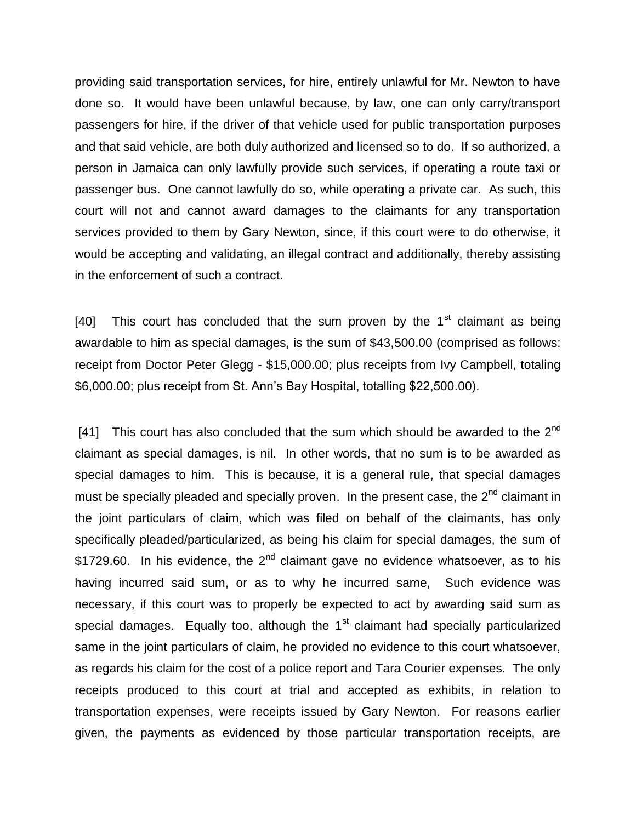providing said transportation services, for hire, entirely unlawful for Mr. Newton to have done so. It would have been unlawful because, by law, one can only carry/transport passengers for hire, if the driver of that vehicle used for public transportation purposes and that said vehicle, are both duly authorized and licensed so to do. If so authorized, a person in Jamaica can only lawfully provide such services, if operating a route taxi or passenger bus. One cannot lawfully do so, while operating a private car. As such, this court will not and cannot award damages to the claimants for any transportation services provided to them by Gary Newton, since, if this court were to do otherwise, it would be accepting and validating, an illegal contract and additionally, thereby assisting in the enforcement of such a contract.

[40] This court has concluded that the sum proven by the  $1<sup>st</sup>$  claimant as being awardable to him as special damages, is the sum of \$43,500.00 (comprised as follows: receipt from Doctor Peter Glegg - \$15,000.00; plus receipts from Ivy Campbell, totaling \$6,000.00; plus receipt from St. Ann's Bay Hospital, totalling \$22,500.00).

[41] This court has also concluded that the sum which should be awarded to the  $2<sup>nd</sup>$ claimant as special damages, is nil. In other words, that no sum is to be awarded as special damages to him. This is because, it is a general rule, that special damages must be specially pleaded and specially proven. In the present case, the 2<sup>nd</sup> claimant in the joint particulars of claim, which was filed on behalf of the claimants, has only specifically pleaded/particularized, as being his claim for special damages, the sum of  $$1729.60.$  In his evidence, the  $2<sup>nd</sup>$  claimant gave no evidence whatsoever, as to his having incurred said sum, or as to why he incurred same, Such evidence was necessary, if this court was to properly be expected to act by awarding said sum as special damages. Equally too, although the  $1<sup>st</sup>$  claimant had specially particularized same in the joint particulars of claim, he provided no evidence to this court whatsoever, as regards his claim for the cost of a police report and Tara Courier expenses. The only receipts produced to this court at trial and accepted as exhibits, in relation to transportation expenses, were receipts issued by Gary Newton. For reasons earlier given, the payments as evidenced by those particular transportation receipts, are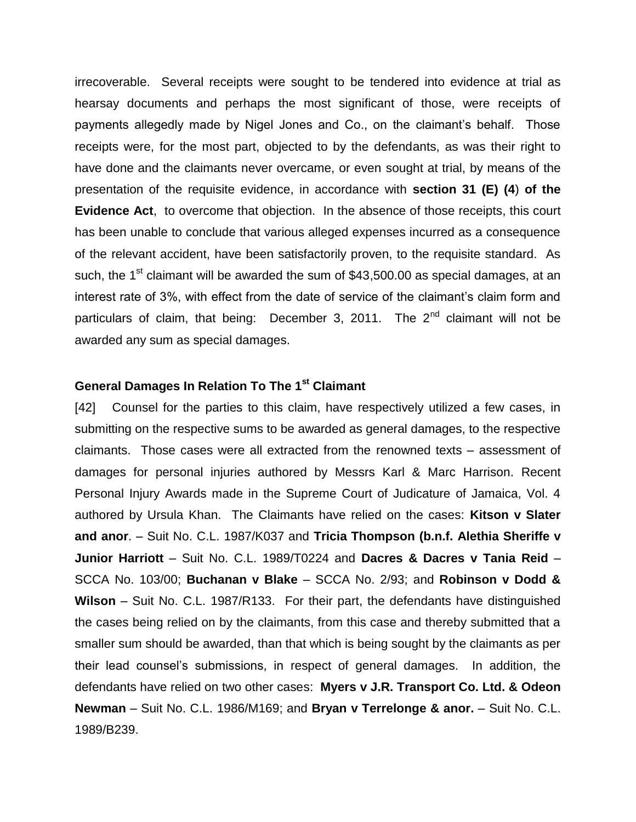irrecoverable. Several receipts were sought to be tendered into evidence at trial as hearsay documents and perhaps the most significant of those, were receipts of payments allegedly made by Nigel Jones and Co., on the claimant's behalf. Those receipts were, for the most part, objected to by the defendants, as was their right to have done and the claimants never overcame, or even sought at trial, by means of the presentation of the requisite evidence, in accordance with **section 31 (E) (4**) **of the Evidence Act**, to overcome that objection. In the absence of those receipts, this court has been unable to conclude that various alleged expenses incurred as a consequence of the relevant accident, have been satisfactorily proven, to the requisite standard. As such, the 1<sup>st</sup> claimant will be awarded the sum of \$43,500.00 as special damages, at an interest rate of 3%, with effect from the date of service of the claimant's claim form and particulars of claim, that being: December 3, 2011. The  $2^{nd}$  claimant will not be awarded any sum as special damages.

## **General Damages In Relation To The 1st Claimant**

[42] Counsel for the parties to this claim, have respectively utilized a few cases, in submitting on the respective sums to be awarded as general damages, to the respective claimants. Those cases were all extracted from the renowned texts – assessment of damages for personal injuries authored by Messrs Karl & Marc Harrison. Recent Personal Injury Awards made in the Supreme Court of Judicature of Jamaica, Vol. 4 authored by Ursula Khan. The Claimants have relied on the cases: **Kitson v Slater and anor**. – Suit No. C.L. 1987/K037 and **Tricia Thompson (b.n.f. Alethia Sheriffe v Junior Harriott** – Suit No. C.L. 1989/T0224 and **Dacres & Dacres v Tania Reid** – SCCA No. 103/00; **Buchanan v Blake** – SCCA No. 2/93; and **Robinson v Dodd & Wilson** – Suit No. C.L. 1987/R133. For their part, the defendants have distinguished the cases being relied on by the claimants, from this case and thereby submitted that a smaller sum should be awarded, than that which is being sought by the claimants as per their lead counsel's submissions, in respect of general damages. In addition, the defendants have relied on two other cases: **Myers v J.R. Transport Co. Ltd. & Odeon Newman** – Suit No. C.L. 1986/M169; and **Bryan v Terrelonge & anor.** – Suit No. C.L. 1989/B239.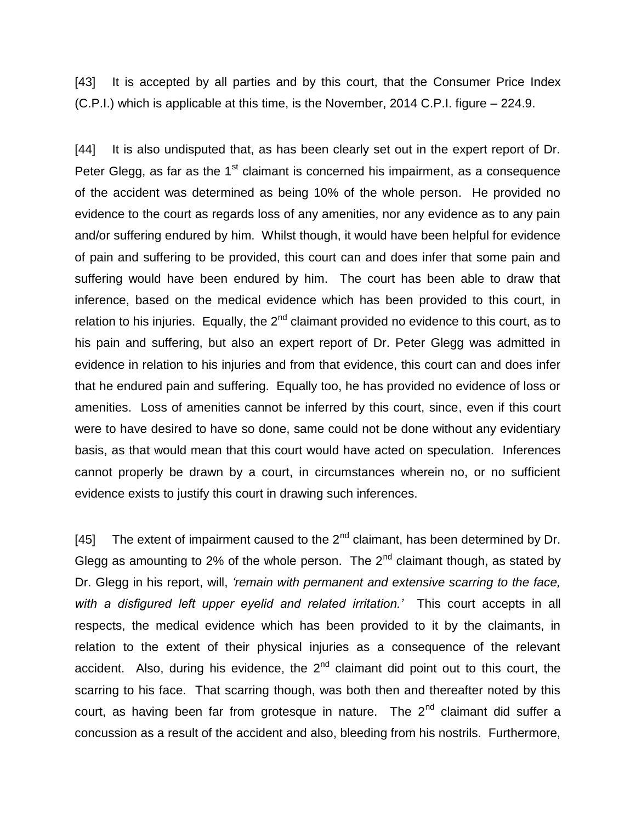[43] It is accepted by all parties and by this court, that the Consumer Price Index (C.P.I.) which is applicable at this time, is the November, 2014 C.P.I. figure – 224.9.

[44] It is also undisputed that, as has been clearly set out in the expert report of Dr. Peter Glegg, as far as the  $1<sup>st</sup>$  claimant is concerned his impairment, as a consequence of the accident was determined as being 10% of the whole person. He provided no evidence to the court as regards loss of any amenities, nor any evidence as to any pain and/or suffering endured by him. Whilst though, it would have been helpful for evidence of pain and suffering to be provided, this court can and does infer that some pain and suffering would have been endured by him. The court has been able to draw that inference, based on the medical evidence which has been provided to this court, in relation to his injuries. Equally, the  $2<sup>nd</sup>$  claimant provided no evidence to this court, as to his pain and suffering, but also an expert report of Dr. Peter Glegg was admitted in evidence in relation to his injuries and from that evidence, this court can and does infer that he endured pain and suffering. Equally too, he has provided no evidence of loss or amenities. Loss of amenities cannot be inferred by this court, since, even if this court were to have desired to have so done, same could not be done without any evidentiary basis, as that would mean that this court would have acted on speculation. Inferences cannot properly be drawn by a court, in circumstances wherein no, or no sufficient evidence exists to justify this court in drawing such inferences.

[45] The extent of impairment caused to the  $2^{nd}$  claimant, has been determined by Dr. Glegg as amounting to 2% of the whole person. The  $2^{nd}$  claimant though, as stated by Dr. Glegg in his report, will, *'remain with permanent and extensive scarring to the face, with a disfigured left upper eyelid and related irritation.'* This court accepts in all respects, the medical evidence which has been provided to it by the claimants, in relation to the extent of their physical injuries as a consequence of the relevant accident. Also, during his evidence, the  $2<sup>nd</sup>$  claimant did point out to this court, the scarring to his face. That scarring though, was both then and thereafter noted by this court, as having been far from grotesque in nature. The 2<sup>nd</sup> claimant did suffer a concussion as a result of the accident and also, bleeding from his nostrils. Furthermore,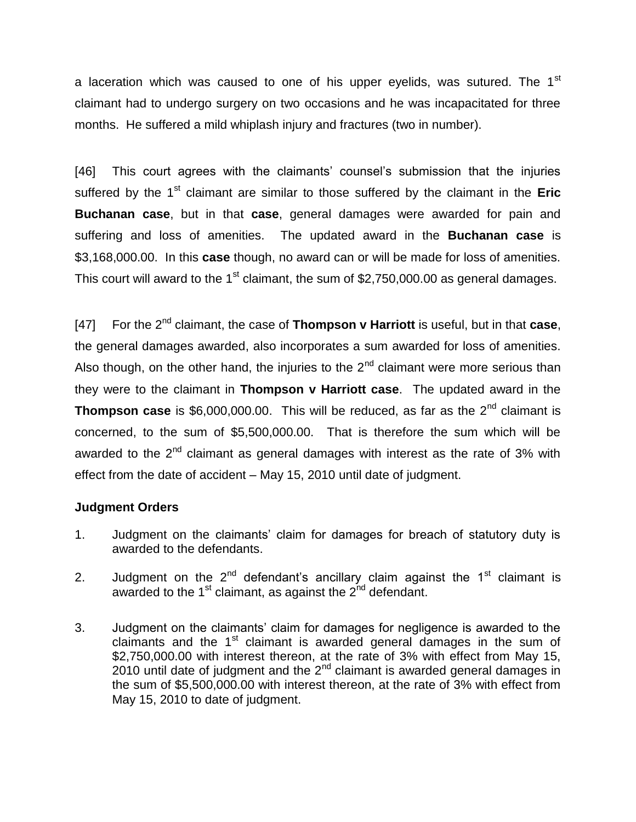a laceration which was caused to one of his upper eyelids, was sutured. The 1<sup>st</sup> claimant had to undergo surgery on two occasions and he was incapacitated for three months. He suffered a mild whiplash injury and fractures (two in number).

[46] This court agrees with the claimants' counsel's submission that the injuries suffered by the 1<sup>st</sup> claimant are similar to those suffered by the claimant in the **Eric Buchanan case**, but in that **case**, general damages were awarded for pain and suffering and loss of amenities. The updated award in the **Buchanan case** is \$3,168,000.00. In this **case** though, no award can or will be made for loss of amenities. This court will award to the 1<sup>st</sup> claimant, the sum of \$2,750,000.00 as general damages.

[47] For the 2nd claimant, the case of **Thompson v Harriott** is useful, but in that **case**, the general damages awarded, also incorporates a sum awarded for loss of amenities. Also though, on the other hand, the injuries to the  $2^{nd}$  claimant were more serious than they were to the claimant in **Thompson v Harriott case**. The updated award in the **Thompson case** is \$6,000,000.00. This will be reduced, as far as the 2<sup>nd</sup> claimant is concerned, to the sum of \$5,500,000.00. That is therefore the sum which will be awarded to the  $2<sup>nd</sup>$  claimant as general damages with interest as the rate of 3% with effect from the date of accident – May 15, 2010 until date of judgment.

## **Judgment Orders**

- 1. Judgment on the claimants' claim for damages for breach of statutory duty is awarded to the defendants.
- 2. Judgment on the  $2^{nd}$  defendant's ancillary claim against the  $1<sup>st</sup>$  claimant is awarded to the  $1<sup>st</sup>$  claimant, as against the  $2<sup>nd</sup>$  defendant.
- 3. Judgment on the claimants' claim for damages for negligence is awarded to the claimants and the 1<sup>st</sup> claimant is awarded general damages in the sum of \$2,750,000.00 with interest thereon, at the rate of 3% with effect from May 15, 2010 until date of judgment and the  $2^{nd}$  claimant is awarded general damages in the sum of \$5,500,000.00 with interest thereon, at the rate of 3% with effect from May 15, 2010 to date of judgment.